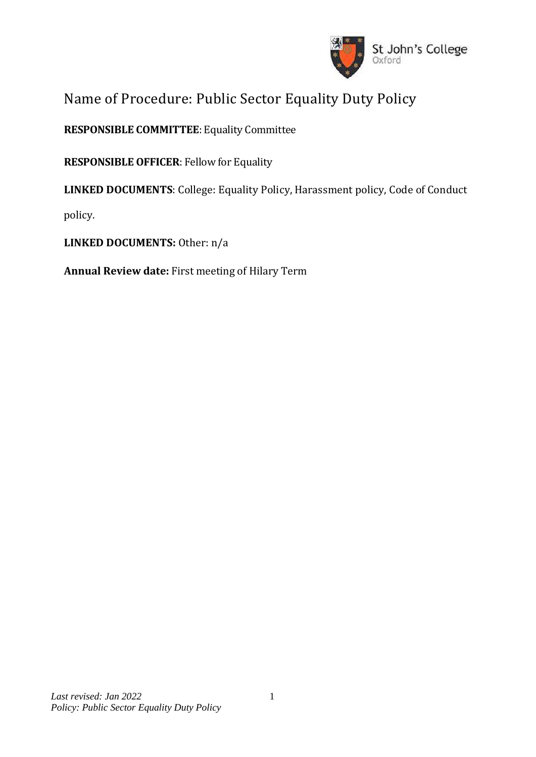

# Name of Procedure: Public Sector Equality Duty Policy

**RESPONSIBLE COMMITTEE**: Equality Committee

**RESPONSIBLE OFFICER**: Fellow for Equality

**LINKED DOCUMENTS**: College: Equality Policy, Harassment policy, Code of Conduct

policy.

**LINKED DOCUMENTS:** Other: n/a

**Annual Review date:** First meeting of Hilary Term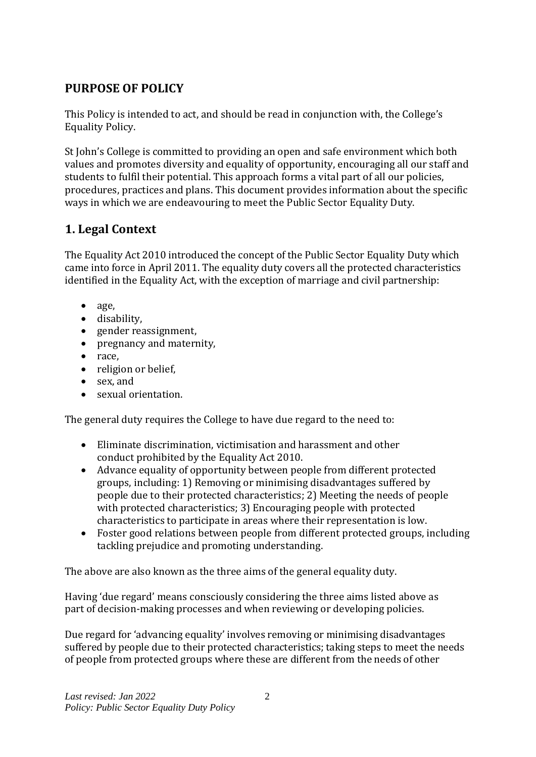## **PURPOSE OF POLICY**

This Policy is intended to act, and should be read in conjunction with, the College's Equality Policy.

St John's College is committed to providing an open and safe environment which both values and promotes diversity and equality of opportunity, encouraging all our staff and students to fulfil their potential. This approach forms a vital part of all our policies, procedures, practices and plans. This document provides information about the specific ways in which we are endeavouring to meet the Public Sector Equality Duty.

## **1. Legal Context**

The Equality Act 2010 introduced the concept of the Public Sector Equality Duty which came into force in April 2011. The equality duty covers all the protected characteristics identified in the Equality Act, with the exception of marriage and civil partnership:

- age,
- disability,
- gender reassignment.
- pregnancy and maternity,
- race,
- religion or belief,
- sex, and
- sexual orientation.

The general duty requires the College to have due regard to the need to:

- Eliminate discrimination, victimisation and harassment and other conduct prohibited by the Equality Act 2010.
- Advance equality of opportunity between people from different protected groups, including: 1) Removing or minimising disadvantages suffered by people due to their protected characteristics; 2) Meeting the needs of people with protected characteristics; 3) Encouraging people with protected characteristics to participate in areas where their representation is low.
- Foster good relations between people from different protected groups, including tackling prejudice and promoting understanding.

The above are also known as the three aims of the general equality duty.

Having 'due regard' means consciously considering the three aims listed above as part of decision-making processes and when reviewing or developing policies.

Due regard for 'advancing equality' involves removing or minimising disadvantages suffered by people due to their protected characteristics; taking steps to meet the needs of people from protected groups where these are different from the needs of other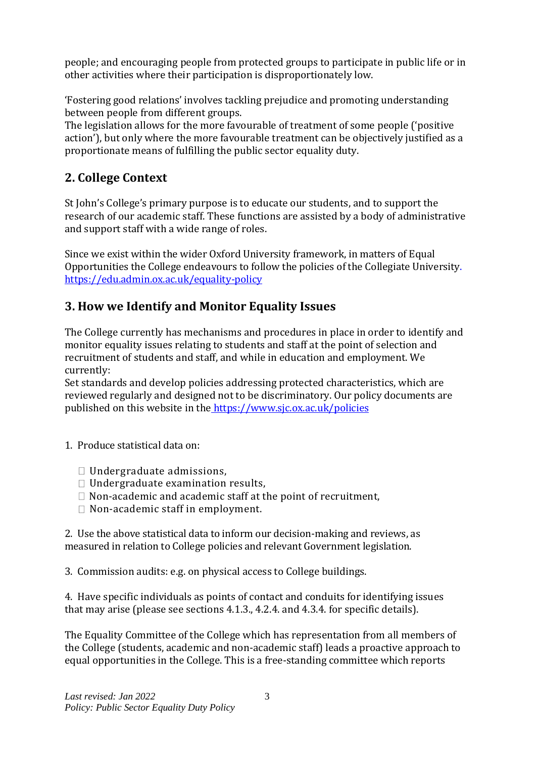people; and encouraging people from protected groups to participate in public life or in other activities where their participation is disproportionately low.

'Fostering good relations' involves tackling prejudice and promoting understanding between people from different groups.

The legislation allows for the more favourable of treatment of some people ('positive action'), but only where the more favourable treatment can be objectively justified as a proportionate means of fulfilling the public sector equality duty.

## **2. College Context**

St John's College's primary purpose is to educate our students, and to support the research of our academic staff. These functions are assisted by a body of administrative and support staff with a wide range of roles.

Since we exist within the wider Oxford University framework, in matters of Equal Opportunities the College endeavours to follow the policies of the Collegiate University. <https://edu.admin.ox.ac.uk/equality-policy>

## **3. How we Identify and Monitor Equality Issues**

The College currently has mechanisms and procedures in place in order to identify and monitor equality issues relating to students and staff at the point of selection and recruitment of students and staff, and while in education and employment. We currently:

Set standards and develop policies addressing protected characteristics, which are reviewed regularly and designed not to be discriminatory. Our policy documents are published on this website in the <https://www.sjc.ox.ac.uk/policies>

- 1. Produce statistical data on:
	- Undergraduate admissions,
	- $\Box$  Undergraduate examination results,
	- $\Box$  Non-academic and academic staff at the point of recruitment,
	- $\Box$  Non-academic staff in employment.

2. Use the above statistical data to inform our decision-making and reviews, as measured in relation to College policies and relevant Government legislation.

3. Commission audits: e.g. on physical access to College buildings.

4. Have specific individuals as points of contact and conduits for identifying issues that may arise (please see sections 4.1.3., 4.2.4. and 4.3.4. for specific details).

The Equality Committee of the College which has representation from all members of the College (students, academic and non-academic staff) leads a proactive approach to equal opportunities in the College. This is a free-standing committee which reports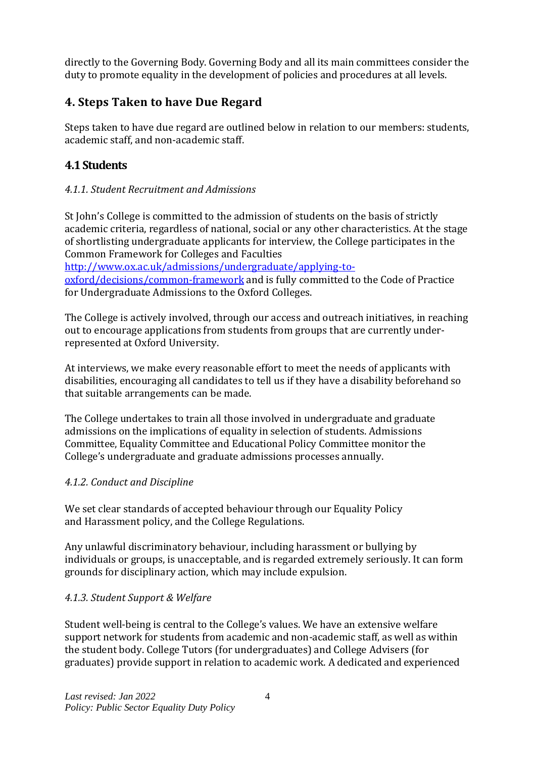directly to the Governing Body. Governing Body and all its main committees consider the duty to promote equality in the development of policies and procedures at all levels.

## **4. Steps Taken to have Due Regard**

Steps taken to have due regard are outlined below in relation to our members: students, academic staff, and non-academic staff.

## **4.1 Students**

### *4.1.1. Student Recruitment and Admissions*

St John's College is committed to the admission of students on the basis of strictly academic criteria, regardless of national, social or any other characteristics. At the stage of shortlisting undergraduate applicants for interview, the College participates in the Common Framework for Colleges and Faculties

[http://www.ox.ac.uk/admissions/undergraduate/applying-to](http://www.ox.ac.uk/admissions/undergraduate/applying-to-oxford/decisions/common-framework)[oxford/decisions/common-framework](http://www.ox.ac.uk/admissions/undergraduate/applying-to-oxford/decisions/common-framework) and is fully committed to the Code of Practice for Undergraduate Admissions to the Oxford Colleges.

The College is actively involved, through our access and outreach initiatives, in reaching out to encourage applications from students from groups that are currently underrepresented at Oxford University.

At interviews, we make every reasonable effort to meet the needs of applicants with disabilities, encouraging all candidates to tell us if they have a disability beforehand so that suitable arrangements can be made.

The College undertakes to train all those involved in undergraduate and graduate admissions on the implications of equality in selection of students. Admissions Committee, Equality Committee and Educational Policy Committee monitor the College's undergraduate and graduate admissions processes annually.

### *4.1.2. Conduct and Discipline*

We set clear standards of accepted behaviour through our Equality Policy and Harassment policy, and the College Regulations.

Any unlawful discriminatory behaviour, including harassment or bullying by individuals or groups, is unacceptable, and is regarded extremely seriously. It can form grounds for disciplinary action, which may include expulsion.

### *4.1.3. Student Support & Welfare*

Student well-being is central to the College's values. We have an extensive welfare support network for students from academic and non-academic staff, as well as within the student body. College Tutors (for undergraduates) and College Advisers (for graduates) provide support in relation to academic work. A dedicated and experienced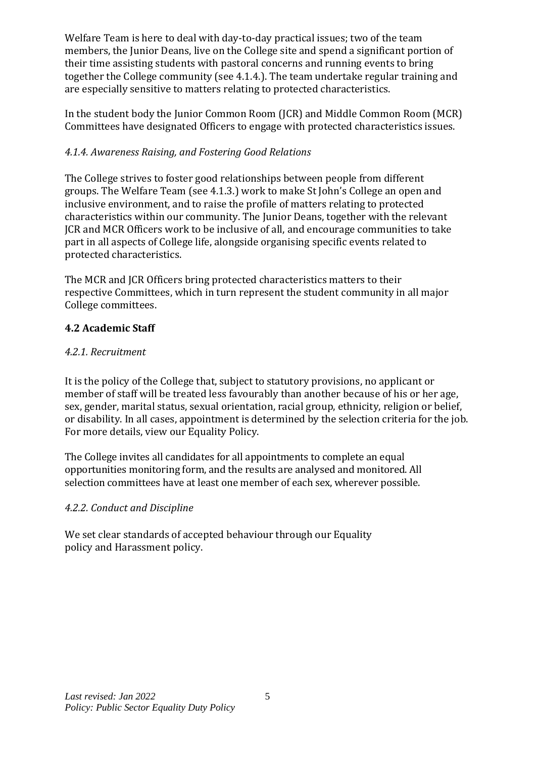Welfare Team is here to deal with day-to-day practical issues; two of the team members, the Junior Deans, live on the College site and spend a significant portion of their time assisting students with pastoral concerns and running events to bring together the College community (see 4.1.4.). The team undertake regular training and are especially sensitive to matters relating to protected characteristics.

In the student body the Junior Common Room (JCR) and Middle Common Room (MCR) Committees have designated Officers to engage with protected characteristics issues.

### *4.1.4. Awareness Raising, and Fostering Good Relations*

The College strives to foster good relationships between people from different groups. The Welfare Team (see 4.1.3.) work to make St John's College an open and inclusive environment, and to raise the profile of matters relating to protected characteristics within our community. The Junior Deans, together with the relevant JCR and MCR Officers work to be inclusive of all, and encourage communities to take part in all aspects of College life, alongside organising specific events related to protected characteristics.

The MCR and JCR Officers bring protected characteristics matters to their respective Committees, which in turn represent the student community in all major College committees.

## **4.2 Academic Staff**

## *4.2.1. Recruitment*

It is the policy of the College that, subject to statutory provisions, no applicant or member of staff will be treated less favourably than another because of his or her age, sex, gender, marital status, sexual orientation, racial group, ethnicity, religion or belief, or disability. In all cases, appointment is determined by the selection criteria for the job. For more details, view our Equality Policy.

The College invites all candidates for all appointments to complete an equal opportunities monitoring form, and the results are analysed and monitored. All selection committees have at least one member of each sex, wherever possible.

## *4.2.2. Conduct and Discipline*

We set clear standards of accepted behaviour through our Equality policy and Harassment policy.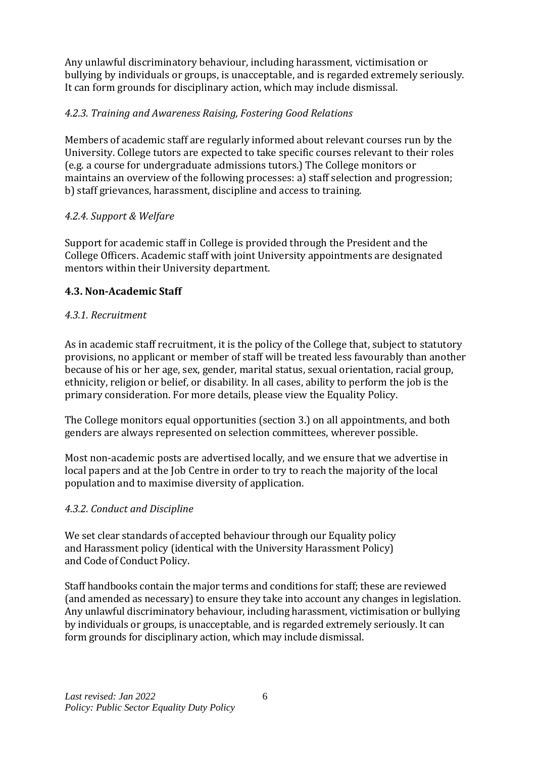Any unlawful discriminatory behaviour, including harassment, victimisation or bullying by individuals or groups, is unacceptable, and is regarded extremely seriously. It can form grounds for disciplinary action, which may include dismissal.

## *4.2.3. Training and Awareness Raising, Fostering Good Relations*

Members of academic staff are regularly informed about relevant courses run by the University. College tutors are expected to take specific courses relevant to their roles (e.g. a course for undergraduate admissions tutors.) The College monitors or maintains an overview of the following processes: a) staff selection and progression; b) staff grievances, harassment, discipline and access to training.

### *4.2.4. Support & Welfare*

Support for academic staff in College is provided through the President and the College Officers. Academic staff with joint University appointments are designated mentors within their University department.

## **4.3. Non-Academic Staff**

### *4.3.1. Recruitment*

As in academic staff recruitment, it is the policy of the College that, subject to statutory provisions, no applicant or member of staff will be treated less favourably than another because of his or her age, sex, gender, marital status, sexual orientation, racial group, ethnicity, religion or belief, or disability. In all cases, ability to perform the job is the primary consideration. For more details, please view the Equality Policy.

The College monitors equal opportunities (section 3.) on all appointments, and both genders are always represented on selection committees, wherever possible.

Most non-academic posts are advertised locally, and we ensure that we advertise in local papers and at the Job Centre in order to try to reach the majority of the local population and to maximise diversity of application.

### *4.3.2. Conduct and Discipline*

We set clear standards of accepted behaviour through our Equality policy and Harassment policy (identical with the University Harassment Policy) and Code of Conduct Policy.

Staff handbooks contain the major terms and conditions for staff; these are reviewed (and amended as necessary) to ensure they take into account any changes in legislation. Any unlawful discriminatory behaviour, including harassment, victimisation or bullying by individuals or groups, is unacceptable, and is regarded extremely seriously. It can form grounds for disciplinary action, which may include dismissal.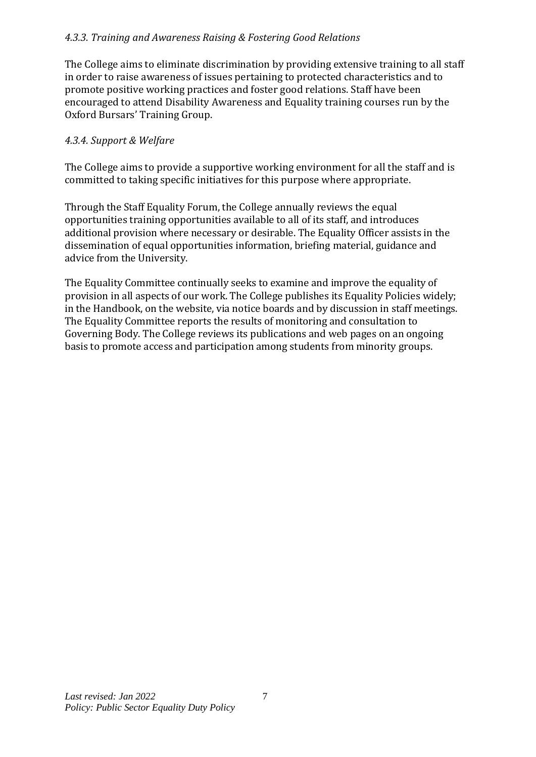#### *4.3.3. Training and Awareness Raising & Fostering Good Relations*

The College aims to eliminate discrimination by providing extensive training to all staff in order to raise awareness of issues pertaining to protected characteristics and to promote positive working practices and foster good relations. Staff have been encouraged to attend Disability Awareness and Equality training courses run by the Oxford Bursars' Training Group.

#### *4.3.4. Support & Welfare*

The College aims to provide a supportive working environment for all the staff and is committed to taking specific initiatives for this purpose where appropriate.

Through the Staff Equality Forum, the College annually reviews the equal opportunities training opportunities available to all of its staff, and introduces additional provision where necessary or desirable. The Equality Officer assists in the dissemination of equal opportunities information, briefing material, guidance and advice from the University.

The Equality Committee continually seeks to examine and improve the equality of provision in all aspects of our work. The College publishes its Equality Policies widely; in the Handbook, on the website, via notice boards and by discussion in staff meetings. The Equality Committee reports the results of monitoring and consultation to Governing Body. The College reviews its publications and web pages on an ongoing basis to promote access and participation among students from minority groups.